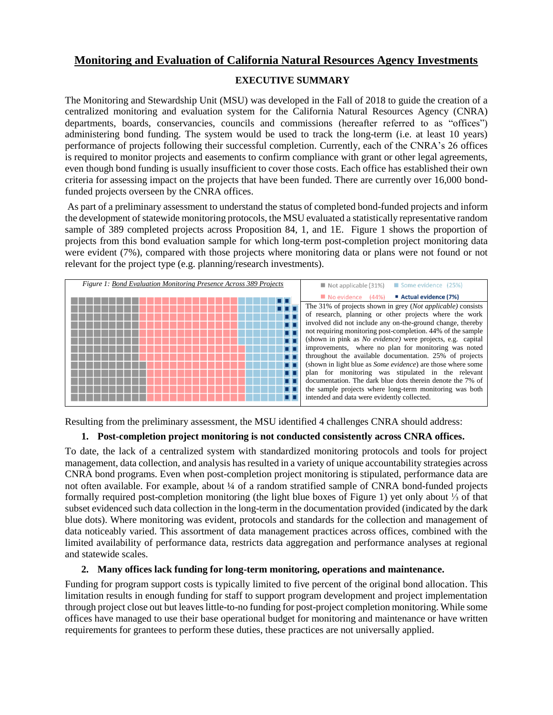# **Monitoring and Evaluation of California Natural Resources Agency Investments**

#### **EXECUTIVE SUMMARY**

The Monitoring and Stewardship Unit (MSU) was developed in the Fall of 2018 to guide the creation of a centralized monitoring and evaluation system for the California Natural Resources Agency (CNRA) departments, boards, conservancies, councils and commissions (hereafter referred to as "offices") administering bond funding. The system would be used to track the long-term (i.e. at least 10 years) performance of projects following their successful completion. Currently, each of the CNRA's 26 offices is required to monitor projects and easements to confirm compliance with grant or other legal agreements, even though bond funding is usually insufficient to cover those costs. Each office has established their own criteria for assessing impact on the projects that have been funded. There are currently over 16,000 bondfunded projects overseen by the CNRA offices.

As part of a preliminary assessment to understand the status of completed bond-funded projects and inform the development of statewide monitoring protocols, the MSU evaluated a statistically representative random sample of 389 completed projects across Proposition 84, 1, and 1E. Figure 1 shows the proportion of projects from this bond evaluation sample for which long-term post-completion project monitoring data were evident (7%), compared with those projects where monitoring data or plans were not found or not relevant for the project type (e.g. planning/research investments).



Resulting from the preliminary assessment, the MSU identified 4 challenges CNRA should address:

## **1. Post-completion project monitoring is not conducted consistently across CNRA offices.**

To date, the lack of a centralized system with standardized monitoring protocols and tools for project management, data collection, and analysis has resulted in a variety of unique accountability strategies across CNRA bond programs. Even when post-completion project monitoring is stipulated, performance data are not often available. For example, about ¼ of a random stratified sample of CNRA bond-funded projects formally required post-completion monitoring (the light blue boxes of Figure 1) yet only about ⅓ of that subset evidenced such data collection in the long-term in the documentation provided (indicated by the dark blue dots). Where monitoring was evident, protocols and standards for the collection and management of data noticeably varied. This assortment of data management practices across offices, combined with the limited availability of performance data, restricts data aggregation and performance analyses at regional and statewide scales.

## **2. Many offices lack funding for long-term monitoring, operations and maintenance.**

Funding for program support costs is typically limited to five percent of the original bond allocation. This limitation results in enough funding for staff to support program development and project implementation through project close out but leaves little-to-no funding for post-project completion monitoring. While some offices have managed to use their base operational budget for monitoring and maintenance or have written requirements for grantees to perform these duties, these practices are not universally applied.